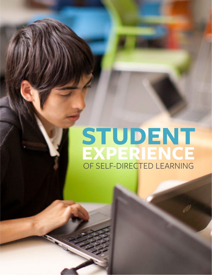# **STUDENT EXPERIENCE** OF SELF-DIRECTED LEARNING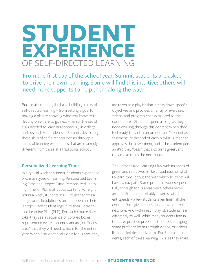# **STUDENT EXPERIENCE** OF SELF-DIRECTED LEARNING

From the first day of the school year, Summit students are asked to drive their own learning. Some will find this intuitive; others will need more supports to help them along the way.

But for all students, the basic building blocks of self-directed learning – from setting a goal to making a plan to showing what you know to reflecting on where to go next – mirror the set of skills needed to learn autonomously in college and beyond. For students at Summit, developing these skills of self-direction occurs through a series of learning experiences that are markedly different from those at a traditional school.

#### **Personalized Learning Time**

In a typical week at Summit, students experience two main types of learning: Personalized Learning Time and Project Time. Personalized Learning Time, or PLT, is all about content. For eight hours a week, students in PLT cluster across a large room, headphones on, and open up their laptops. Each student logs in to their Personalized Learning Plan (PLP). For each course they take, they see a sequence of colored boxes representing every content standard, or "focus area," that they will need to learn for the entire year. When a student clicks on a focus area, they

are taken to a playlist that breaks down specific objectives and provides an array of exercises, videos, and progress checks tailored to the content area. Students spend as long as they need working through this content When they feel ready, they click an on-demand "content assessment" at the end of each playlist. A teacher approves the assessment, and if the student gets an 8/10 they "pass," that box turns green, and they move on to the next focus area.

The Personalized Learning Plan, with its series of green and red boxes, is like a roadmap for what to learn throughout the year, which students will have to navigate. Some prefer to work sequentially through focus areas while others move around. Students inevitably progress at different speeds – a few students even finish all the content for a given course and move on to the next one. And within each playlist, students learn differently as well. While many students find interactive practice problems the most engaging, some prefer to learn through videos, or others like detailed descriptive text. For Summit students, each of these learning choices they make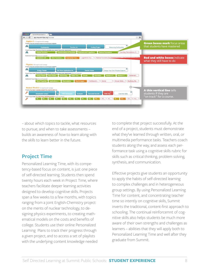

– about which topics to tackle, what resources to pursue, and when to take assessments – builds an awareness of *how* to learn along with the *skills* to learn better in the future.

#### **Project Time**

Personalized Learning Time, with its competency-based focus on content, is just one piece of self-directed learning. Students then spend twenty hours each week in Project Time, where teachers facilitate deeper learning activities designed to develop cognitive skills. Projects span a few weeks to a few months, with topics ranging from a joint English-Chemistry project on the merits of nuclear technology, to designing physics experiments, to creating mathematical models on the costs and benefits of college. Students use their online Personalized Learning Plans to track their progress through a given project, and to access a set of playlists with the underlying content knowledge needed

to complete that project successfully. At the end of a project, students must demonstrate what they've learned through written, oral, or multimedia performance tasks. Teachers coach students along the way, and assess each performance task using a cognitive skills rubric for skills such as critical thinking, problem solving, synthesis, and communication.

Effective projects give students an opportunity to apply the habits of self-directed learning to complex challenges and in heterogeneous group settings. By using Personalized Learning Time for content, and concentrating teacher time so intently on cognitive skills, Summit inverts the traditional, content-first approach to schooling. The continual reinforcemnt of cognitive skills also helps students be much more aware of their own strengths and challenges as learners – abilities that they will apply both to Personalized Learning Time and well after they graduate from Summit.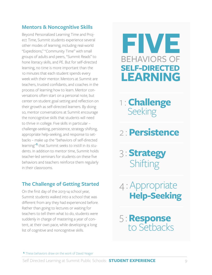#### **Mentors & Noncognitive Skills**

Beyond Personalized Learning Time and Project Time, Summit students experience several other modes of learning, including real-world "Expeditions," "Community Time" with small groups of adults and peers, "Summit Reads" to hone literacy skills, and PE. But for self-directed learning, no time is more important than the 10 minutes that each student spends every week with their mentor. Mentors at Summit are teachers, trusted confidants, and coaches in the process of learning how to learn. Mentor conversations often start on a personal note, but center on student goal setting and reflection on their growth as self-directed learners. By doing so, mentor conversations at Summit encourage the noncognitive skills that students will need to thrive in college. Five skills in particular – challenge-seeking, persistence, strategy shifting, appropriate help-seeking, and response to setbacks – make up the "behaviors of self-directed learning"**1** that Summit seeks to instill in its students. In addition to mentor time, Summit holds teacher-led seminars for students on these five behaviors and teachers reinforce them regularly in their classrooms.

### **The Challenge of Getting Started**

On the first day of the 2013-14 school year, Summit students walked into a school that was different from any they had experienced before. Rather than going to lectures or waiting for teachers to tell them what to do, students were suddenly in charge of mastering a year of content, at their own pace, while developing a long list of cognitive and noncognitive skills.



1 : **Challenge** Seeking

- 2 : **Persistence**
- 3 : **Strategy** Shifting
- 4 : <sup>A</sup>ppropriate **Help-Seeking**
- 5 : **Response** to Setbacks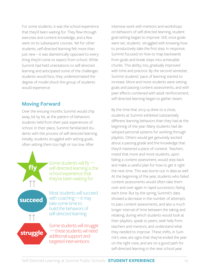For some students, it was the school experience that they'd been waiting for. They flew through exercises and content knowledge, and a few went on to subsequent courses. Yet for other students, self-directed learning felt more than just new – it was diametrically opposed to everything they'd come to expect from school. While Summit had held orientations to self-directed learning and anticipated some of the challenges students would face, they underestimated the degree of model shock this group of students would experience.

#### **Moving Forward**

**fly**

 $\uparrow$ 

**succeed**

 $\uparrow \uparrow$ 

**struggle**

Over the ensuing months Summit would chip away, bit by bit, at the pattern of behaviors students held from their past experiences of school. In their place, Summit familiarized students with the process of self-directed learning. Initially, students struggled with setting goals, often setting them too high or too low. After

> Some students will fly  $$ self-directed learning is the school experience that they've been waiting for

Most students will succeed with coaching  $-$  it may take some time to build the behaviors of self-directed learning

Some students will struggle \_\_ these students wil need additional support and targeted interventions

intensive work with mentors and workshops on behaviors of self-directed learning, student goal-setting began to improve. Still, once goals were set, students struggled with knowing how to productively take the first step. In response, Summit focused on how to map backwards from goals and break steps into achievable chunks. This ability, too, gradually improved with time and practice. By the second semester, Summit students' pace of learning started to increase. More and more students were setting goals and passing content assessments, and with peer effects combined with adult reinforcement, self-directed learning began to gather steam.

By the time that 2013-14 drew to a close, students at Summit exhibited substantially different learning behaviors than they had at the beginning of the year. Many students had developed personal systems for working through playlists. Others would get genuinely excited about a passing grade and the knowledge that they'd mastered a piece of content. Teachers noted that more and more students, upon failing a content assessment, would step back and make a careful plan for how to get it right the next time. This was borne out in data as well. At the beginning of the year, students who failed content assessments would often take them over and over again in rapid succession, failing each time. But by the spring, Summit's data showed a decrease in the number of attempts to pass content assessments, and also a much longer interval of time between the taking and retaking, during which students would look at their playlists, speak to peers, seek help from teachers and mentors, and understand what they needed to improve. These shifts, in Summit's view, are signs that they've ended the year on the right note, and are on a good path for self-directed learning in the next school year.